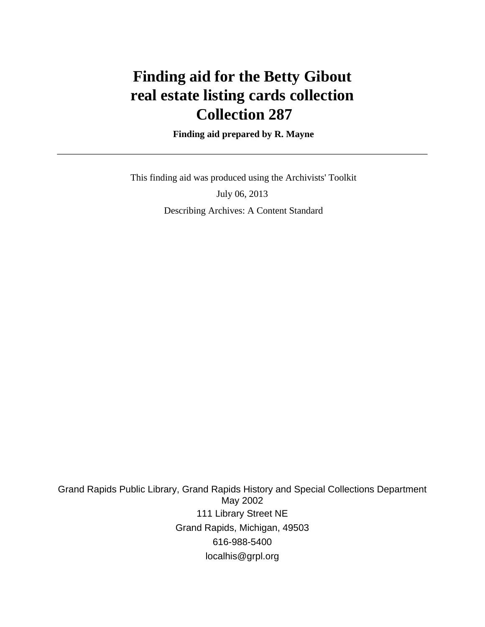# **Finding aid for the Betty Gibout real estate listing cards collection Collection 287**

 **Finding aid prepared by R. Mayne**

 This finding aid was produced using the Archivists' Toolkit July 06, 2013 Describing Archives: A Content Standard

Grand Rapids Public Library, Grand Rapids History and Special Collections Department May 2002 111 Library Street NE Grand Rapids, Michigan, 49503 616-988-5400 localhis@grpl.org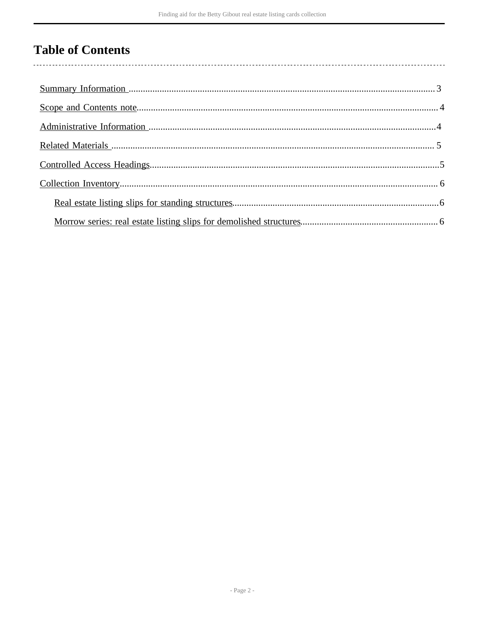## **Table of Contents**

 $\overline{\phantom{a}}$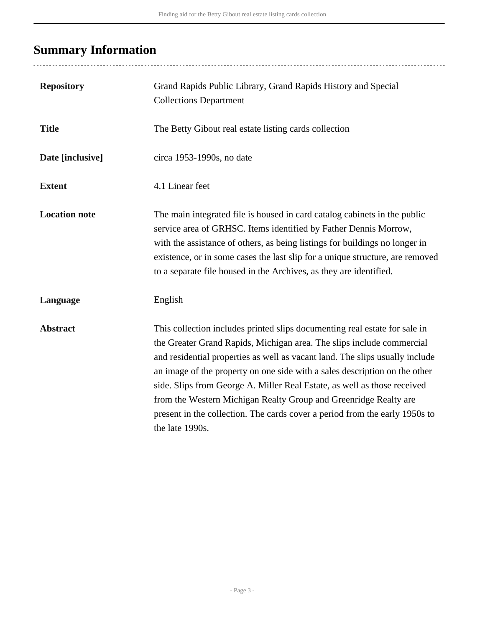# <span id="page-2-0"></span>**Summary Information**

...................................

| <b>Repository</b>    | Grand Rapids Public Library, Grand Rapids History and Special<br><b>Collections Department</b>                                                                                                                                                                                                                                                                                                                                                                                                                                                                      |
|----------------------|---------------------------------------------------------------------------------------------------------------------------------------------------------------------------------------------------------------------------------------------------------------------------------------------------------------------------------------------------------------------------------------------------------------------------------------------------------------------------------------------------------------------------------------------------------------------|
| <b>Title</b>         | The Betty Gibout real estate listing cards collection                                                                                                                                                                                                                                                                                                                                                                                                                                                                                                               |
| Date [inclusive]     | circa 1953-1990s, no date                                                                                                                                                                                                                                                                                                                                                                                                                                                                                                                                           |
| <b>Extent</b>        | 4.1 Linear feet                                                                                                                                                                                                                                                                                                                                                                                                                                                                                                                                                     |
| <b>Location note</b> | The main integrated file is housed in card catalog cabinets in the public<br>service area of GRHSC. Items identified by Father Dennis Morrow,<br>with the assistance of others, as being listings for buildings no longer in<br>existence, or in some cases the last slip for a unique structure, are removed<br>to a separate file housed in the Archives, as they are identified.                                                                                                                                                                                 |
| Language             | English                                                                                                                                                                                                                                                                                                                                                                                                                                                                                                                                                             |
| <b>Abstract</b>      | This collection includes printed slips documenting real estate for sale in<br>the Greater Grand Rapids, Michigan area. The slips include commercial<br>and residential properties as well as vacant land. The slips usually include<br>an image of the property on one side with a sales description on the other<br>side. Slips from George A. Miller Real Estate, as well as those received<br>from the Western Michigan Realty Group and Greenridge Realty are<br>present in the collection. The cards cover a period from the early 1950s to<br>the late 1990s. |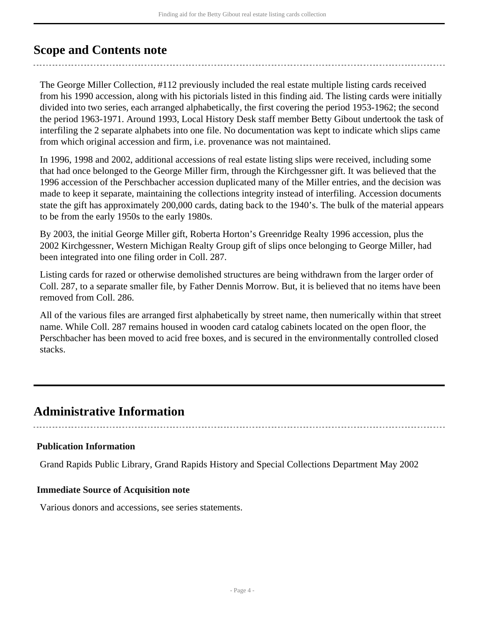### <span id="page-3-0"></span>**Scope and Contents note**

The George Miller Collection, #112 previously included the real estate multiple listing cards received from his 1990 accession, along with his pictorials listed in this finding aid. The listing cards were initially divided into two series, each arranged alphabetically, the first covering the period 1953-1962; the second the period 1963-1971. Around 1993, Local History Desk staff member Betty Gibout undertook the task of interfiling the 2 separate alphabets into one file. No documentation was kept to indicate which slips came from which original accession and firm, i.e. provenance was not maintained.

In 1996, 1998 and 2002, additional accessions of real estate listing slips were received, including some that had once belonged to the George Miller firm, through the Kirchgessner gift. It was believed that the 1996 accession of the Perschbacher accession duplicated many of the Miller entries, and the decision was made to keep it separate, maintaining the collections integrity instead of interfiling. Accession documents state the gift has approximately 200,000 cards, dating back to the 1940's. The bulk of the material appears to be from the early 1950s to the early 1980s.

By 2003, the initial George Miller gift, Roberta Horton's Greenridge Realty 1996 accession, plus the 2002 Kirchgessner, Western Michigan Realty Group gift of slips once belonging to George Miller, had been integrated into one filing order in Coll. 287.

Listing cards for razed or otherwise demolished structures are being withdrawn from the larger order of Coll. 287, to a separate smaller file, by Father Dennis Morrow. But, it is believed that no items have been removed from Coll. 286.

All of the various files are arranged first alphabetically by street name, then numerically within that street name. While Coll. 287 remains housed in wooden card catalog cabinets located on the open floor, the Perschbacher has been moved to acid free boxes, and is secured in the environmentally controlled closed stacks.

## <span id="page-3-1"></span>**Administrative Information**

#### **Publication Information**

Grand Rapids Public Library, Grand Rapids History and Special Collections Department May 2002

#### **Immediate Source of Acquisition note**

Various donors and accessions, see series statements.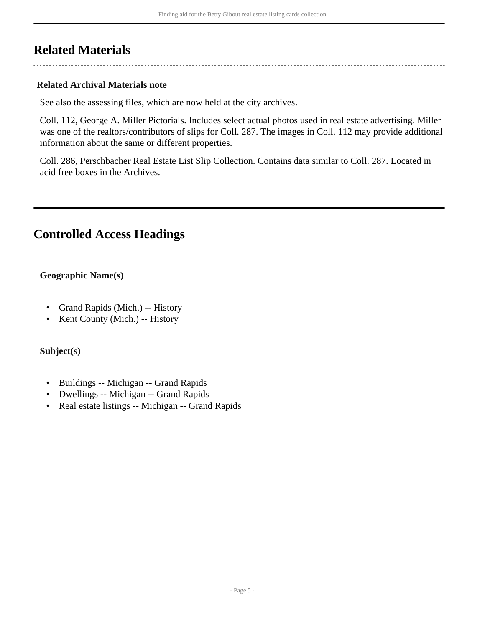## <span id="page-4-0"></span>**Related Materials**

### **Related Archival Materials note**

See also the assessing files, which are now held at the city archives.

Coll. 112, George A. Miller Pictorials. Includes select actual photos used in real estate advertising. Miller was one of the realtors/contributors of slips for Coll. 287. The images in Coll. 112 may provide additional information about the same or different properties.

Coll. 286, Perschbacher Real Estate List Slip Collection. Contains data similar to Coll. 287. Located in acid free boxes in the Archives.

## <span id="page-4-1"></span>**Controlled Access Headings**

### **Geographic Name(s)**

- Grand Rapids (Mich.) -- History
- Kent County (Mich.) -- History

#### **Subject(s)**

- Buildings -- Michigan -- Grand Rapids
- Dwellings -- Michigan -- Grand Rapids
- Real estate listings -- Michigan -- Grand Rapids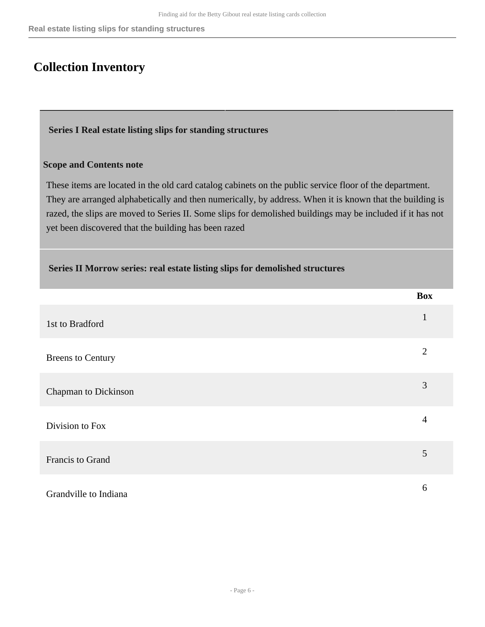### <span id="page-5-0"></span>**Collection Inventory**

#### <span id="page-5-1"></span> **Series I Real estate listing slips for standing structures**

#### **Scope and Contents note**

These items are located in the old card catalog cabinets on the public service floor of the department. They are arranged alphabetically and then numerically, by address. When it is known that the building is razed, the slips are moved to Series II. Some slips for demolished buildings may be included if it has not yet been discovered that the building has been razed

<span id="page-5-2"></span>

|                             | <b>Box</b>     |
|-----------------------------|----------------|
| 1st to Bradford             |                |
| <b>Breens to Century</b>    | $\overline{2}$ |
| <b>Chapman to Dickinson</b> | 3              |
| Division to Fox             | $\overline{4}$ |
| Francis to Grand            | 5              |
| Grandville to Indiana       | 6              |